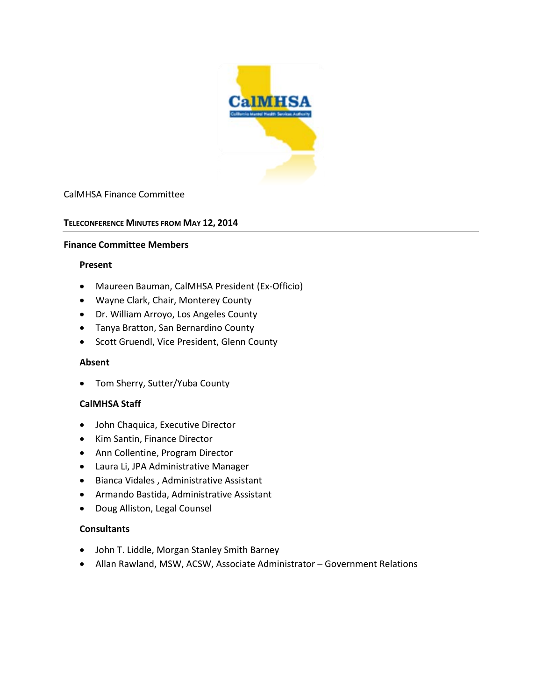

## CalMHSA Finance Committee

### **TELECONFERENCE MINUTES FROM MAY 12, 2014**

#### **Finance Committee Members**

#### **Present**

- Maureen Bauman, CalMHSA President (Ex-Officio)
- Wayne Clark, Chair, Monterey County
- Dr. William Arroyo, Los Angeles County
- Tanya Bratton, San Bernardino County
- Scott Gruendl, Vice President, Glenn County

### **Absent**

• Tom Sherry, Sutter/Yuba County

### **CalMHSA Staff**

- John Chaquica, Executive Director
- Kim Santin, Finance Director
- Ann Collentine, Program Director
- Laura Li, JPA Administrative Manager
- Bianca Vidales , Administrative Assistant
- Armando Bastida, Administrative Assistant
- Doug Alliston, Legal Counsel

### **Consultants**

- John T. Liddle, Morgan Stanley Smith Barney
- Allan Rawland, MSW, ACSW, Associate Administrator Government Relations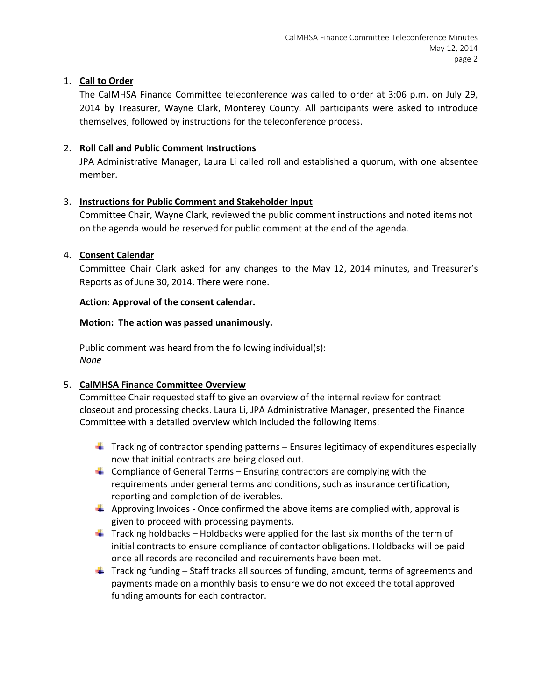## 1. **Call to Order**

The CalMHSA Finance Committee teleconference was called to order at 3:06 p.m. on July 29, 2014 by Treasurer, Wayne Clark, Monterey County. All participants were asked to introduce themselves, followed by instructions for the teleconference process.

## 2. **Roll Call and Public Comment Instructions**

JPA Administrative Manager, Laura Li called roll and established a quorum, with one absentee member.

## 3. **Instructions for Public Comment and Stakeholder Input**

Committee Chair, Wayne Clark, reviewed the public comment instructions and noted items not on the agenda would be reserved for public comment at the end of the agenda.

## 4. **Consent Calendar**

Committee Chair Clark asked for any changes to the May 12, 2014 minutes, and Treasurer's Reports as of June 30, 2014. There were none.

## **Action: Approval of the consent calendar.**

## **Motion: The action was passed unanimously.**

Public comment was heard from the following individual(s): *None*

# 5. **CalMHSA Finance Committee Overview**

Committee Chair requested staff to give an overview of the internal review for contract closeout and processing checks. Laura Li, JPA Administrative Manager, presented the Finance Committee with a detailed overview which included the following items:

- $\downarrow$  Tracking of contractor spending patterns Ensures legitimacy of expenditures especially now that initial contracts are being closed out.
- **Compliance of General Terms Ensuring contractors are complying with the** requirements under general terms and conditions, such as insurance certification, reporting and completion of deliverables.
- $\triangleq$  Approving Invoices Once confirmed the above items are complied with, approval is given to proceed with processing payments.
- $\ddot{+}$  Tracking holdbacks Holdbacks were applied for the last six months of the term of initial contracts to ensure compliance of contactor obligations. Holdbacks will be paid once all records are reconciled and requirements have been met.
- $\ddot{\phantom{1}}$  Tracking funding Staff tracks all sources of funding, amount, terms of agreements and payments made on a monthly basis to ensure we do not exceed the total approved funding amounts for each contractor.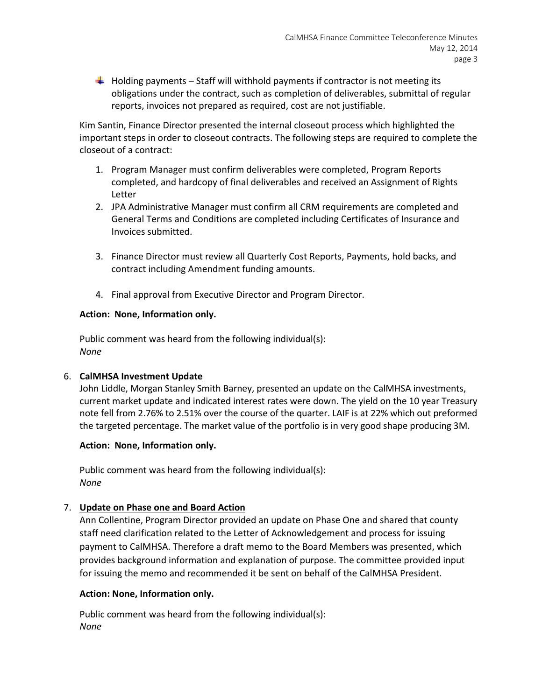$\ddot{\phantom{1}}$  Holding payments – Staff will withhold payments if contractor is not meeting its obligations under the contract, such as completion of deliverables, submittal of regular reports, invoices not prepared as required, cost are not justifiable.

Kim Santin, Finance Director presented the internal closeout process which highlighted the important steps in order to closeout contracts. The following steps are required to complete the closeout of a contract:

- 1. Program Manager must confirm deliverables were completed, Program Reports completed, and hardcopy of final deliverables and received an Assignment of Rights Letter
- 2. JPA Administrative Manager must confirm all CRM requirements are completed and General Terms and Conditions are completed including Certificates of Insurance and Invoices submitted.
- 3. Finance Director must review all Quarterly Cost Reports, Payments, hold backs, and contract including Amendment funding amounts.
- 4. Final approval from Executive Director and Program Director.

## **Action: None, Information only.**

Public comment was heard from the following individual(s): *None*

## 6. **CalMHSA Investment Update**

John Liddle, Morgan Stanley Smith Barney, presented an update on the CalMHSA investments, current market update and indicated interest rates were down. The yield on the 10 year Treasury note fell from 2.76% to 2.51% over the course of the quarter. LAIF is at 22% which out preformed the targeted percentage. The market value of the portfolio is in very good shape producing 3M.

## **Action: None, Information only.**

Public comment was heard from the following individual(s): *None*

# 7. **Update on Phase one and Board Action**

Ann Collentine, Program Director provided an update on Phase One and shared that county staff need clarification related to the Letter of Acknowledgement and process for issuing payment to CalMHSA. Therefore a draft memo to the Board Members was presented, which provides background information and explanation of purpose. The committee provided input for issuing the memo and recommended it be sent on behalf of the CalMHSA President.

## **Action: None, Information only.**

Public comment was heard from the following individual(s): *None*